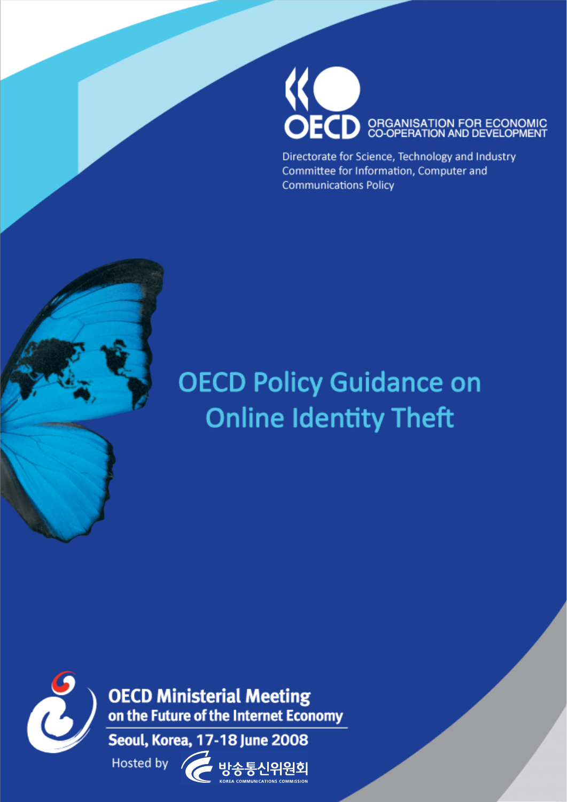

Directorate for Science, Technology and Industry Committee for Information, Computer and **Communications Policy** 

# **OECD Policy Guidance on Online Identity Theft**



**OECD Ministerial Meeting**<br>on the Future of the Internet Economy

Seoul, Korea, 17-18 June 2008 Hosted by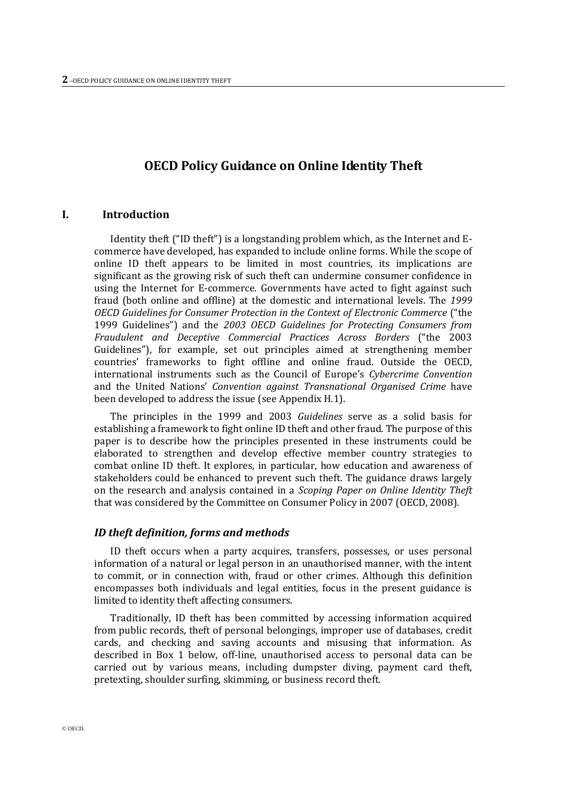## **OECD Policy Guidance on Online Identity Theft**

#### **I. Introduction**

Identity theft ("ID theft") is a longstanding problem which, as the Internet and Ecommerce have developed, has expanded to include online forms. While the scope of online ID theft appears to be limited in most countries, its implications are significant as the growing risk of such theft can undermine consumer confidence in using the Internet for E-commerce. Governments have acted to fight against such fraud (both online and offline) at the domestic and international levels. The *1999 OECD Guidelines for Consumer Protection in the Context of Electronic Commerce* ("the 1999 Guidelines") and the *2003 OECD Guidelines for Protecting Consumers from Fraudulent and Deceptive Commercial Practices Across Borders* ("the 2003 Guidelines"), for example, set out principles aimed at strengthening member countries' frameworks to fight offline and online fraud. Outside the OECD, international instruments such as the Council of Europe's *Cybercrime Convention* and the United Nations' *Convention against Transnational Organised Crime* have been developed to address the issue (see Appendix H.1).

The principles in the 1999 and 2003 *Guidelines* serve as a solid basis for establishing a framework to fight online ID theft and other fraud. The purpose of this paper is to describe how the principles presented in these instruments could be elaborated to strengthen and develop effective member country strategies to combat online ID theft. It explores, in particular, how education and awareness of stakeholders could be enhanced to prevent such theft. The guidance draws largely on the research and analysis contained in a *Scoping Paper on Online Identity Theft*  that was considered by the Committee on Consumer Policy in 2007 (OECD, 2008).

#### *ID theft definition, forms and methods*

ID theft occurs when a party acquires, transfers, possesses, or uses personal information of a natural or legal person in an unauthorised manner, with the intent to commit, or in connection with, fraud or other crimes. Although this definition encompasses both individuals and legal entities, focus in the present guidance is limited to identity theft affecting consumers.

Traditionally, ID theft has been committed by accessing information acquired from public records, theft of personal belongings, improper use of databases, credit cards, and checking and saving accounts and misusing that information. As described in Box 1 below, off-line, unauthorised access to personal data can be carried out by various means, including dumpster diving, payment card theft, pretexting, shoulder surfing, skimming, or business record theft.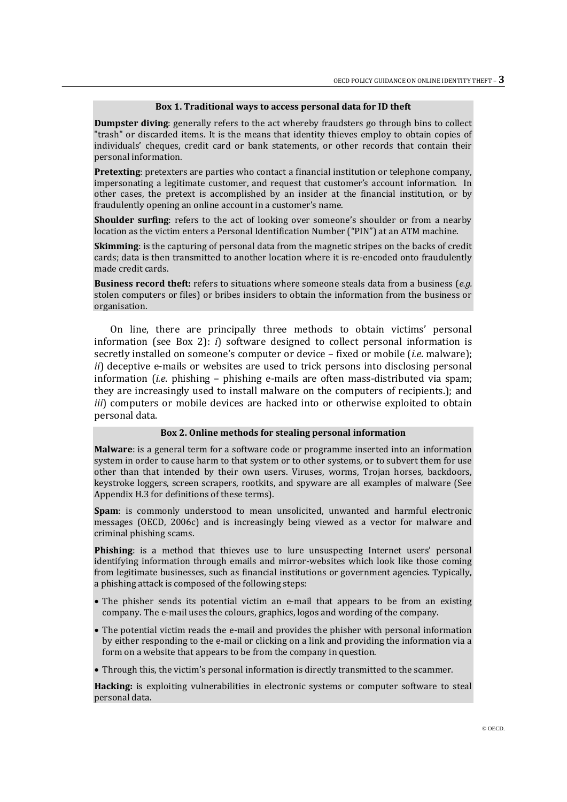#### **Box 1. Traditional ways to access personal data for ID theft**

**Dumpster diving**: generally refers to the act whereby fraudsters go through bins to collect "trash" or discarded items. It is the means that identity thieves employ to obtain copies of individuals' cheques, credit card or bank statements, or other records that contain their personal information.

**Pretexting**: pretexters are parties who contact a financial institution or telephone company, impersonating a legitimate customer, and request that customer's account information. In other cases, the pretext is accomplished by an insider at the financial institution, or by fraudulently opening an online account in a customer's name.

**Shoulder surfing**: refers to the act of looking over someone's shoulder or from a nearby location as the victim enters a Personal Identification Number ("PIN") at an ATM machine.

**Skimming**: is the capturing of personal data from the magnetic stripes on the backs of credit cards; data is then transmitted to another location where it is re-encoded onto fraudulently made credit cards.

**Business record theft:** refers to situations where someone steals data from a business (*e.g.* stolen computers or files) or bribes insiders to obtain the information from the business or organisation.

On line, there are principally three methods to obtain victims' personal information (see Box 2): *i*) software designed to collect personal information is secretly installed on someone's computer or device – fixed or mobile (*i.e*. malware); *ii*) deceptive e-mails or websites are used to trick persons into disclosing personal information (*i.e*. phishing – phishing e-mails are often mass-distributed via spam; they are increasingly used to install malware on the computers of recipients.); and *iii*) computers or mobile devices are hacked into or otherwise exploited to obtain personal data.

#### **Box 2. Online methods for stealing personal information**

**Malware**: is a general term for a software code or programme inserted into an information system in order to cause harm to that system or to other systems, or to subvert them for use other than that intended by their own users. Viruses, worms, Trojan horses, backdoors, keystroke loggers, screen scrapers, rootkits, and spyware are all examples of malware (See Appendix H.3 for definitions of these terms).

**Spam**: is commonly understood to mean unsolicited, unwanted and harmful electronic messages (OECD, 2006c) and is increasingly being viewed as a vector for malware and criminal phishing scams.

**Phishing**: is a method that thieves use to lure unsuspecting Internet users' personal identifying information through emails and mirror-websites which look like those coming from legitimate businesses, such as financial institutions or government agencies. Typically, a phishing attack is composed of the following steps:

- The phisher sends its potential victim an e-mail that appears to be from an existing company. The e-mail uses the colours, graphics, logos and wording of the company.
- The potential victim reads the e-mail and provides the phisher with personal information by either responding to the e-mail or clicking on a link and providing the information via a form on a website that appears to be from the company in question.
- Through this, the victim's personal information is directly transmitted to the scammer.

**Hacking:** is exploiting vulnerabilities in electronic systems or computer software to steal personal data.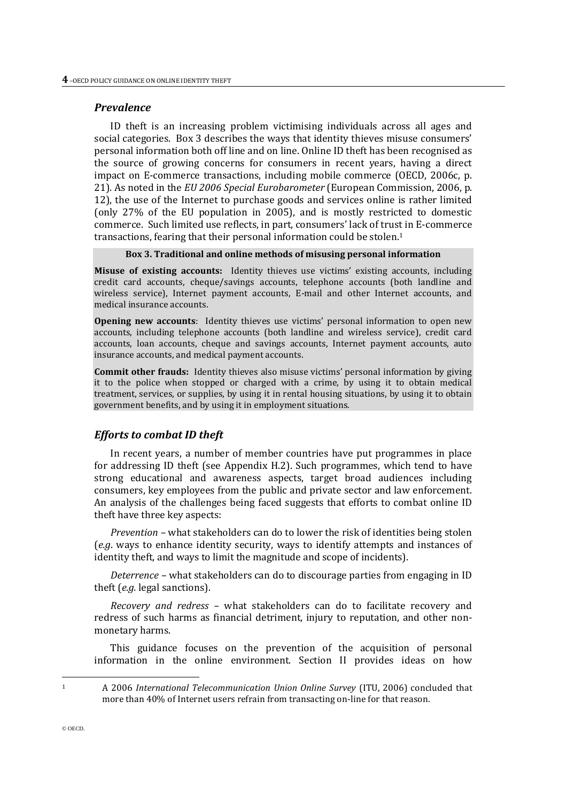#### *Prevalence*

ID theft is an increasing problem victimising individuals across all ages and social categories. Box 3 describes the ways that identity thieves misuse consumers' personal information both off line and on line. Online ID theft has been recognised as the source of growing concerns for consumers in recent years, having a direct impact on E-commerce transactions, including mobile commerce (OECD, 2006c, p. 21). As noted in the *EU 2006 Special Eurobarometer* (European Commission, 2006, p. 12), the use of the Internet to purchase goods and services online is rather limited (only 27% of the EU population in 2005), and is mostly restricted to domestic commerce. Such limited use reflects, in part, consumers' lack of trust in E-commerce transactions, fearing that their personal information could be stolen.<sup>1</sup>

#### **Box 3. Traditional and online methods of misusing personal information**

**Misuse of existing accounts:** Identity thieves use victims' existing accounts, including credit card accounts, cheque/savings accounts, telephone accounts (both landline and wireless service), Internet payment accounts, E-mail and other Internet accounts, and medical insurance accounts.

**Opening new accounts**: Identity thieves use victims' personal information to open new accounts, including telephone accounts (both landline and wireless service), credit card accounts, loan accounts, cheque and savings accounts, Internet payment accounts, auto insurance accounts, and medical payment accounts.

**Commit other frauds:** Identity thieves also misuse victims' personal information by giving it to the police when stopped or charged with a crime, by using it to obtain medical treatment, services, or supplies, by using it in rental housing situations, by using it to obtain government benefits, and by using it in employment situations.

#### *Efforts to combat ID theft*

In recent years, a number of member countries have put programmes in place for addressing ID theft (see Appendix H.2). Such programmes, which tend to have strong educational and awareness aspects, target broad audiences including consumers, key employees from the public and private sector and law enforcement. An analysis of the challenges being faced suggests that efforts to combat online ID theft have three key aspects:

*Prevention –* what stakeholders can do to lower the risk of identities being stolen (*e.g*. ways to enhance identity security, ways to identify attempts and instances of identity theft, and ways to limit the magnitude and scope of incidents).

*Deterrence –* what stakeholders can do to discourage parties from engaging in ID theft (*e.g.* legal sanctions).

*Recovery and redress –* what stakeholders can do to facilitate recovery and redress of such harms as financial detriment, injury to reputation, and other nonmonetary harms.

This guidance focuses on the prevention of the acquisition of personal information in the online environment. Section II provides ideas on how

l

<sup>1</sup> A 2006 *International Telecommunication Union Online Survey* (ITU, 2006) concluded that more than 40% of Internet users refrain from transacting on-line for that reason.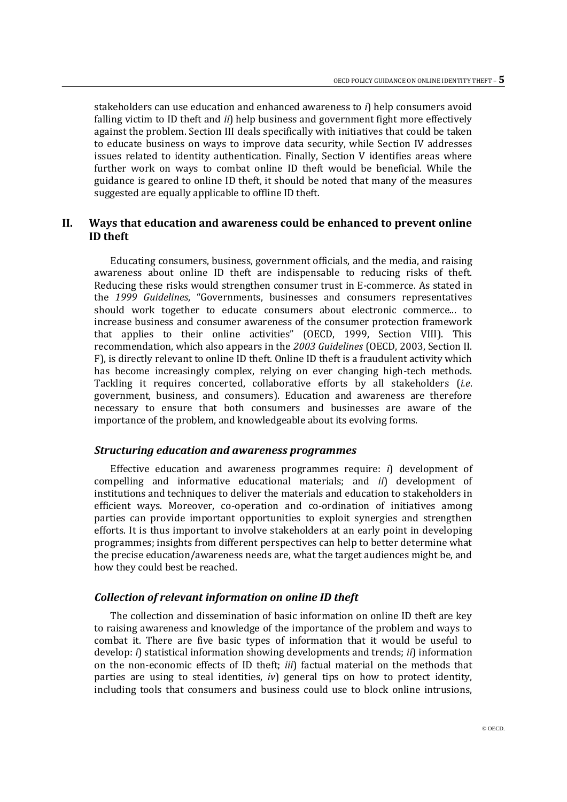stakeholders can use education and enhanced awareness to *i*) help consumers avoid falling victim to ID theft and *ii*) help business and government fight more effectively against the problem. Section III deals specifically with initiatives that could be taken to educate business on ways to improve data security, while Section IV addresses issues related to identity authentication. Finally, Section V identifies areas where further work on ways to combat online ID theft would be beneficial. While the guidance is geared to online ID theft, it should be noted that many of the measures suggested are equally applicable to offline ID theft.

#### **II. Ways that education and awareness could be enhanced to prevent online ID theft**

Educating consumers, business, government officials, and the media, and raising awareness about online ID theft are indispensable to reducing risks of theft. Reducing these risks would strengthen consumer trust in E-commerce. As stated in the *1999 Guidelines*, "Governments, businesses and consumers representatives should work together to educate consumers about electronic commerce... to increase business and consumer awareness of the consumer protection framework that applies to their online activities" (OECD, 1999, Section VIII). This recommendation, which also appears in the *2003 Guidelines* (OECD, 2003, Section II. F), is directly relevant to online ID theft. Online ID theft is a fraudulent activity which has become increasingly complex, relying on ever changing high-tech methods. Tackling it requires concerted, collaborative efforts by all stakeholders (*i.e*. government, business, and consumers). Education and awareness are therefore necessary to ensure that both consumers and businesses are aware of the importance of the problem, and knowledgeable about its evolving forms.

#### *Structuring education and awareness programmes*

Effective education and awareness programmes require: *i*) development of compelling and informative educational materials; and *ii*) development of institutions and techniques to deliver the materials and education to stakeholders in efficient ways. Moreover, co-operation and co-ordination of initiatives among parties can provide important opportunities to exploit synergies and strengthen efforts. It is thus important to involve stakeholders at an early point in developing programmes; insights from different perspectives can help to better determine what the precise education/awareness needs are, what the target audiences might be, and how they could best be reached.

#### *Collection of relevant information on online ID theft*

The collection and dissemination of basic information on online ID theft are key to raising awareness and knowledge of the importance of the problem and ways to combat it. There are five basic types of information that it would be useful to develop: *i*) statistical information showing developments and trends; *ii*) information on the non-economic effects of ID theft; *iii*) factual material on the methods that parties are using to steal identities, *iv*) general tips on how to protect identity, including tools that consumers and business could use to block online intrusions,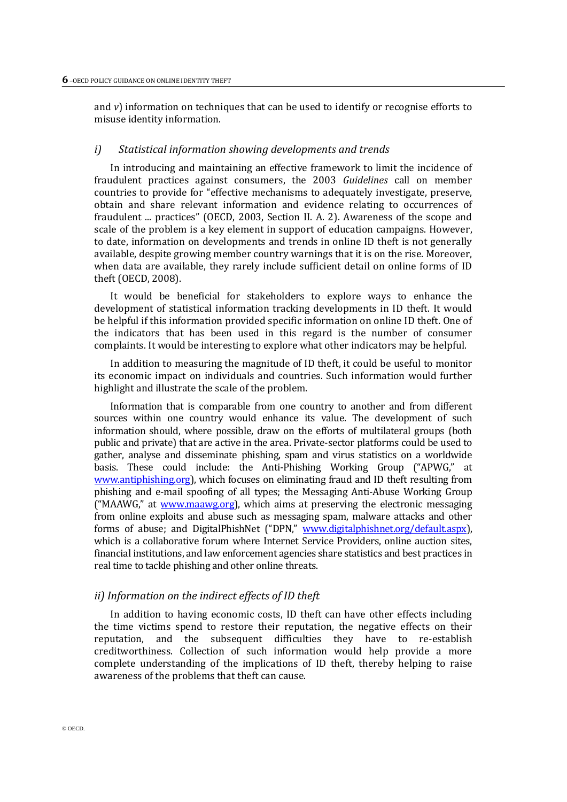and *v*) information on techniques that can be used to identify or recognise efforts to misuse identity information.

#### *i) Statistical information showing developments and trends*

In introducing and maintaining an effective framework to limit the incidence of fraudulent practices against consumers, the 2003 *Guidelines* call on member countries to provide for "effective mechanisms to adequately investigate, preserve, obtain and share relevant information and evidence relating to occurrences of fraudulent ... practices" (OECD, 2003, Section II. A. 2). Awareness of the scope and scale of the problem is a key element in support of education campaigns. However, to date, information on developments and trends in online ID theft is not generally available, despite growing member country warnings that it is on the rise. Moreover, when data are available, they rarely include sufficient detail on online forms of ID theft (OECD, 2008).

It would be beneficial for stakeholders to explore ways to enhance the development of statistical information tracking developments in ID theft. It would be helpful if this information provided specific information on online ID theft. One of the indicators that has been used in this regard is the number of consumer complaints. It would be interesting to explore what other indicators may be helpful.

In addition to measuring the magnitude of ID theft, it could be useful to monitor its economic impact on individuals and countries. Such information would further highlight and illustrate the scale of the problem.

Information that is comparable from one country to another and from different sources within one country would enhance its value. The development of such information should, where possible, draw on the efforts of multilateral groups (both public and private) that are active in the area. Private-sector platforms could be used to gather, analyse and disseminate phishing, spam and virus statistics on a worldwide basis. These could include: the Anti-Phishing Working Group ("APWG," at [www.antiphishing.org\)](http://www.antiphishing.org/), which focuses on eliminating fraud and ID theft resulting from phishing and e-mail spoofing of all types; the Messaging Anti-Abuse Working Group ("MAAWG," at [www.maawg.org\)](http://www.maawg.org/), which aims at preserving the electronic messaging from online exploits and abuse such as messaging spam, malware attacks and other forms of abuse; and DigitalPhishNet ("DPN," [www.digitalphishnet.org/default.aspx\)](http://www.digitalphishnet.org/default.aspx), which is a collaborative forum where Internet Service Providers, online auction sites, financial institutions, and law enforcement agencies share statistics and best practices in real time to tackle phishing and other online threats.

#### *ii) Information on the indirect effects of ID theft*

In addition to having economic costs, ID theft can have other effects including the time victims spend to restore their reputation, the negative effects on their reputation, and the subsequent difficulties they have to re-establish creditworthiness. Collection of such information would help provide a more complete understanding of the implications of ID theft, thereby helping to raise awareness of the problems that theft can cause.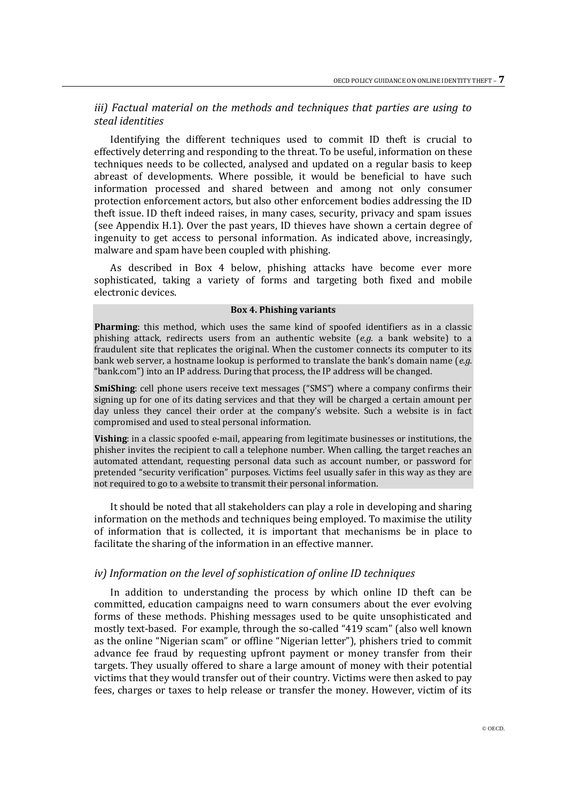### *iii) Factual material on the methods and techniques that parties are using to steal identities*

Identifying the different techniques used to commit ID theft is crucial to effectively deterring and responding to the threat. To be useful, information on these techniques needs to be collected, analysed and updated on a regular basis to keep abreast of developments. Where possible, it would be beneficial to have such information processed and shared between and among not only consumer protection enforcement actors, but also other enforcement bodies addressing the ID theft issue. ID theft indeed raises, in many cases, security, privacy and spam issues (see Appendix H.1). Over the past years, ID thieves have shown a certain degree of ingenuity to get access to personal information. As indicated above, increasingly, malware and spam have been coupled with phishing.

As described in Box 4 below, phishing attacks have become ever more sophisticated, taking a variety of forms and targeting both fixed and mobile electronic devices.

#### **Box 4. Phishing variants**

**Pharming**: this method, which uses the same kind of spoofed identifiers as in a classic phishing attack, redirects users from an authentic website (*e.g.* a bank website) to a fraudulent site that replicates the original. When the customer connects its computer to its bank web server, a hostname lookup is performed to translate the bank's domain name (*e.g.* "bank.com") into an IP address. During that process, the IP address will be changed.

**SmiShing**: cell phone users receive text messages ("SMS") where a company confirms their signing up for one of its dating services and that they will be charged a certain amount per day unless they cancel their order at the company's website. Such a website is in fact compromised and used to steal personal information.

**Vishing**: in a classic spoofed e-mail, appearing from legitimate businesses or institutions, the phisher invites the recipient to call a telephone number. When calling, the target reaches an automated attendant, requesting personal data such as account number, or password for pretended "security verification" purposes. Victims feel usually safer in this way as they are not required to go to a website to transmit their personal information.

It should be noted that all stakeholders can play a role in developing and sharing information on the methods and techniques being employed. To maximise the utility of information that is collected, it is important that mechanisms be in place to facilitate the sharing of the information in an effective manner.

#### *iv) Information on the level of sophistication of online ID techniques*

In addition to understanding the process by which online ID theft can be committed, education campaigns need to warn consumers about the ever evolving forms of these methods. Phishing messages used to be quite unsophisticated and mostly text-based. For example, through the so-called "419 scam" (also well known as the online "Nigerian scam" or offline "Nigerian letter"), phishers tried to commit advance fee fraud by requesting upfront payment or money transfer from their targets. They usually offered to share a large amount of money with their potential victims that they would transfer out of their country. Victims were then asked to pay fees, charges or taxes to help release or transfer the money. However, victim of its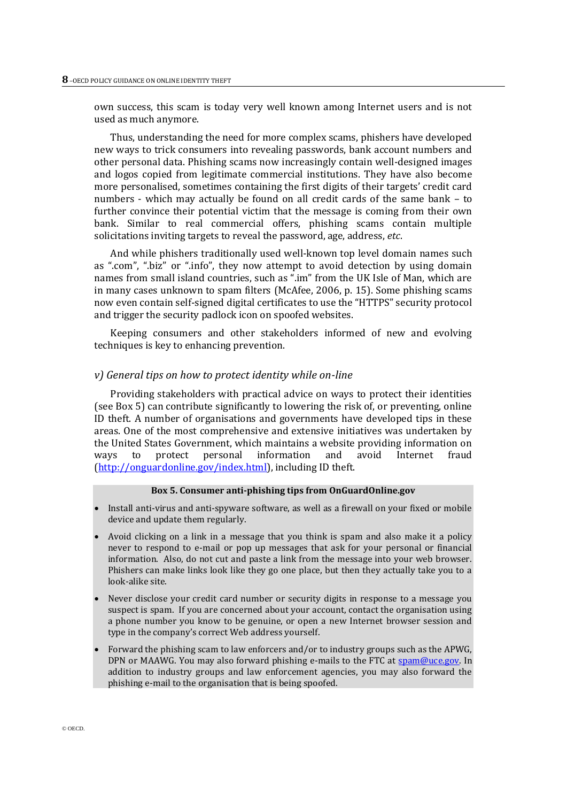own success, this scam is today very well known among Internet users and is not used as much anymore.

Thus, understanding the need for more complex scams, phishers have developed new ways to trick consumers into revealing passwords, bank account numbers and other personal data. Phishing scams now increasingly contain well-designed images and logos copied from legitimate commercial institutions. They have also become more personalised, sometimes containing the first digits of their targets' credit card numbers - which may actually be found on all credit cards of the same bank – to further convince their potential victim that the message is coming from their own bank. Similar to real commercial offers, phishing scams contain multiple solicitations inviting targets to reveal the password, age, address, *etc*.

And while phishers traditionally used well-known top level domain names such as ".com", ".biz" or ".info", they now attempt to avoid detection by using domain names from small island countries, such as ".im" from the UK Isle of Man, which are in many cases unknown to spam filters (McAfee, 2006, p. 15). Some phishing scams now even contain self-signed digital certificates to use the "HTTPS" security protocol and trigger the security padlock icon on spoofed websites.

Keeping consumers and other stakeholders informed of new and evolving techniques is key to enhancing prevention.

#### *v) General tips on how to protect identity while on-line*

Providing stakeholders with practical advice on ways to protect their identities (see Box 5) can contribute significantly to lowering the risk of, or preventing, online ID theft. A number of organisations and governments have developed tips in these areas. One of the most comprehensive and extensive initiatives was undertaken by the United States Government, which maintains a website providing information on ways to protect personal information and avoid Internet fraud [\(http://onguardonline.gov/index.html\)](http://onguardonline.gov/index.html), including ID theft.

#### **Box 5. Consumer anti-phishing tips from OnGuardOnline.gov**

- Install anti-virus and anti-spyware software, as well as a firewall on your fixed or mobile device and update them regularly.
- Avoid clicking on a link in a message that you think is spam and also make it a policy never to respond to e-mail or pop up messages that ask for your personal or financial information. Also, do not cut and paste a link from the message into your web browser. Phishers can make links look like they go one place, but then they actually take you to a look-alike site.
- Never disclose your credit card number or security digits in response to a message you suspect is spam. If you are concerned about your account, contact the organisation using a phone number you know to be genuine, or open a new Internet browser session and type in the company's correct Web address yourself.
- Forward the phishing scam to law enforcers and/or to industry groups such as the APWG, DPN or MAAWG. You may also forward phishing e-mails to the FTC at [spam@uce.gov.](mailto:spam@uce.gov) In addition to industry groups and law enforcement agencies, you may also forward the phishing e-mail to the organisation that is being spoofed.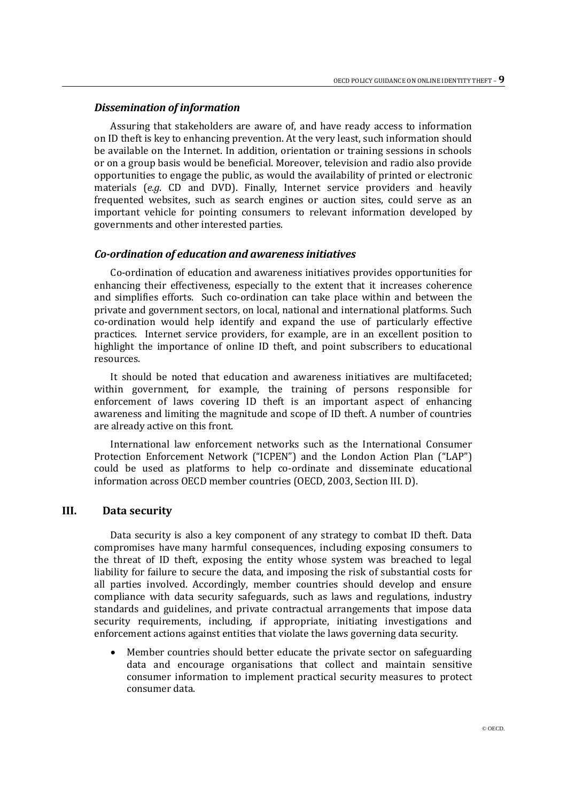#### *Dissemination of information*

Assuring that stakeholders are aware of, and have ready access to information on ID theft is key to enhancing prevention. At the very least, such information should be available on the Internet. In addition, orientation or training sessions in schools or on a group basis would be beneficial. Moreover, television and radio also provide opportunities to engage the public, as would the availability of printed or electronic materials (*e.g*. CD and DVD). Finally, Internet service providers and heavily frequented websites, such as search engines or auction sites, could serve as an important vehicle for pointing consumers to relevant information developed by governments and other interested parties.

#### *Co-ordination of education and awareness initiatives*

Co-ordination of education and awareness initiatives provides opportunities for enhancing their effectiveness, especially to the extent that it increases coherence and simplifies efforts. Such co-ordination can take place within and between the private and government sectors, on local, national and international platforms. Such co-ordination would help identify and expand the use of particularly effective practices. Internet service providers, for example, are in an excellent position to highlight the importance of online ID theft, and point subscribers to educational resources.

It should be noted that education and awareness initiatives are multifaceted; within government, for example, the training of persons responsible for enforcement of laws covering ID theft is an important aspect of enhancing awareness and limiting the magnitude and scope of ID theft. A number of countries are already active on this front.

International law enforcement networks such as the International Consumer Protection Enforcement Network ("ICPEN") and the London Action Plan ("LAP") could be used as platforms to help co-ordinate and disseminate educational information across OECD member countries (OECD, 2003, Section III. D).

#### **III. Data security**

Data security is also a key component of any strategy to combat ID theft. Data compromises have many harmful consequences, including exposing consumers to the threat of ID theft, exposing the entity whose system was breached to legal liability for failure to secure the data, and imposing the risk of substantial costs for all parties involved. Accordingly, member countries should develop and ensure compliance with data security safeguards, such as laws and regulations, industry standards and guidelines, and private contractual arrangements that impose data security requirements, including, if appropriate, initiating investigations and enforcement actions against entities that violate the laws governing data security.

 Member countries should better educate the private sector on safeguarding data and encourage organisations that collect and maintain sensitive consumer information to implement practical security measures to protect consumer data.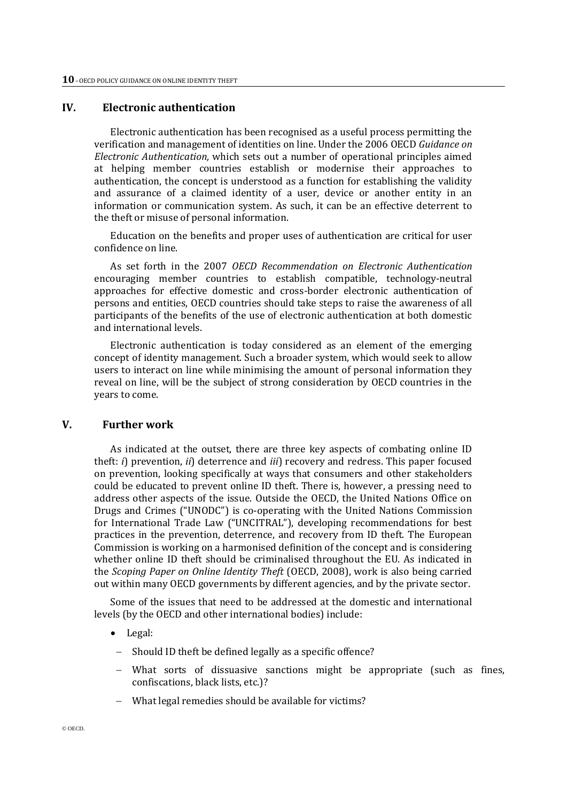#### **IV. Electronic authentication**

Electronic authentication has been recognised as a useful process permitting the verification and management of identities on line. Under the 2006 OECD *Guidance on Electronic Authentication,* which sets out a number of operational principles aimed at helping member countries establish or modernise their approaches to authentication, the concept is understood as a function for establishing the validity and assurance of a claimed identity of a user, device or another entity in an information or communication system. As such, it can be an effective deterrent to the theft or misuse of personal information.

Education on the benefits and proper uses of authentication are critical for user confidence on line.

As set forth in the 2007 *OECD Recommendation on Electronic Authentication* encouraging member countries to establish compatible, technology-neutral approaches for effective domestic and cross-border electronic authentication of persons and entities, OECD countries should take steps to raise the awareness of all participants of the benefits of the use of electronic authentication at both domestic and international levels.

Electronic authentication is today considered as an element of the emerging concept of identity management. Such a broader system, which would seek to allow users to interact on line while minimising the amount of personal information they reveal on line, will be the subject of strong consideration by OECD countries in the years to come.

#### **V. Further work**

As indicated at the outset, there are three key aspects of combating online ID theft: *i*) prevention, *ii*) deterrence and *iii*) recovery and redress. This paper focused on prevention, looking specifically at ways that consumers and other stakeholders could be educated to prevent online ID theft. There is, however, a pressing need to address other aspects of the issue. Outside the OECD, the United Nations Office on Drugs and Crimes ("UNODC") is co-operating with the United Nations Commission for International Trade Law ("UNCITRAL"), developing recommendations for best practices in the prevention, deterrence, and recovery from ID theft. The European Commission is working on a harmonised definition of the concept and is considering whether online ID theft should be criminalised throughout the EU. As indicated in the *Scoping Paper on Online Identity Theft* (OECD, 2008), work is also being carried out within many OECD governments by different agencies, and by the private sector.

Some of the issues that need to be addressed at the domestic and international levels (by the OECD and other international bodies) include:

- Legal:
- Should ID theft be defined legally as a specific offence?
- What sorts of dissuasive sanctions might be appropriate (such as fines, confiscations, black lists, etc.)?
- What legal remedies should be available for victims?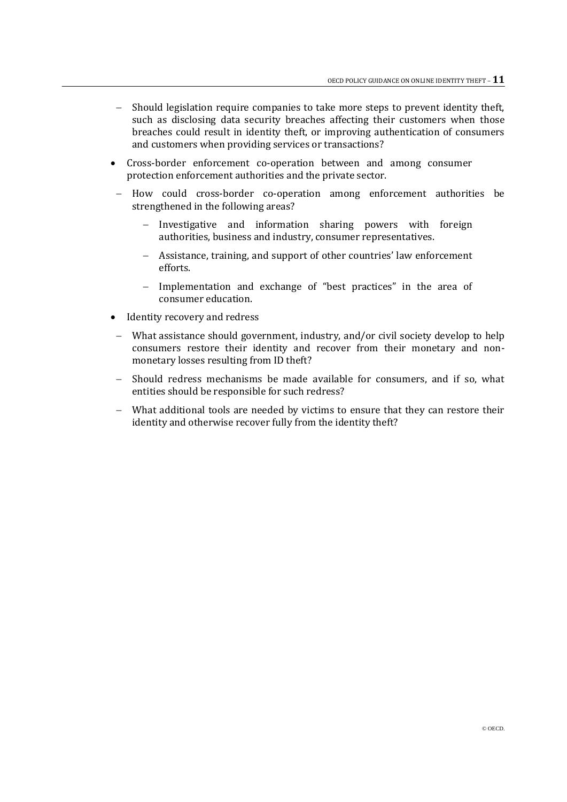- Should legislation require companies to take more steps to prevent identity theft, such as disclosing data security breaches affecting their customers when those breaches could result in identity theft, or improving authentication of consumers and customers when providing services or transactions?
- Cross-border enforcement co-operation between and among consumer protection enforcement authorities and the private sector.
- How could cross-border co-operation among enforcement authorities be strengthened in the following areas?
	- Investigative and information sharing powers with foreign authorities, business and industry, consumer representatives.
	- Assistance, training, and support of other countries' law enforcement efforts.
	- Implementation and exchange of "best practices" in the area of consumer education.
- Identity recovery and redress
- What assistance should government, industry, and/or civil society develop to help consumers restore their identity and recover from their monetary and nonmonetary losses resulting from ID theft?
- Should redress mechanisms be made available for consumers, and if so, what entities should be responsible for such redress?
- What additional tools are needed by victims to ensure that they can restore their identity and otherwise recover fully from the identity theft?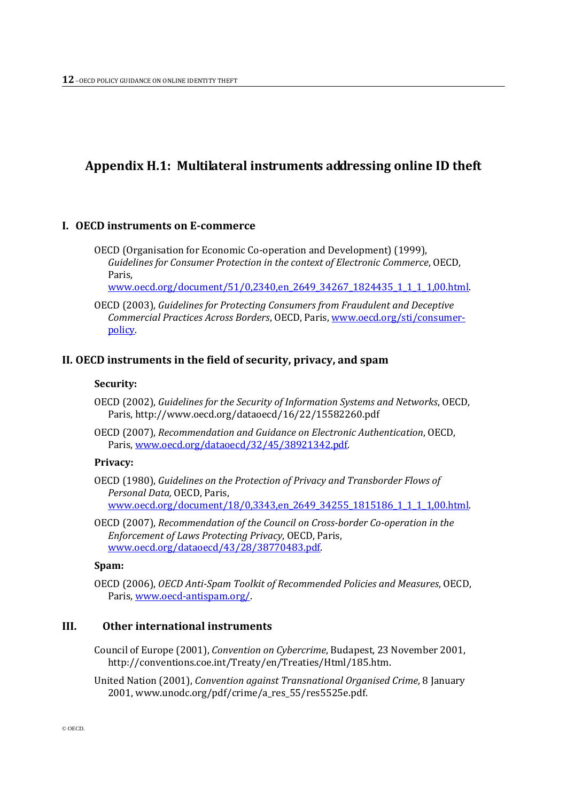## **Appendix H.1: Multilateral instruments addressing online ID theft**

#### **I. OECD instruments on E-commerce**

OECD (Organisation for Economic Co-operation and Development) (1999), *Guidelines for Consumer Protection in the context of Electronic Commerce*, OECD, Paris,

[www.oecd.org/document/51/0,2340,en\\_2649\\_34267\\_1824435\\_1\\_1\\_1\\_1,00.html.](www.oecd.org/document/51/0,2340,en_2649_34267_1824435_1_1_1_1,00.html)

OECD (2003), *Guidelines for Protecting Consumers from Fraudulent and Deceptive Commercial Practices Across Borders*, OECD, Paris[, www.oecd.org/sti/consumer](http://www.oecd.org/sti/consumer-policy)[policy.](http://www.oecd.org/sti/consumer-policy)

#### **II. OECD instruments in the field of security, privacy, and spam**

#### **Security:**

- OECD (2002), *Guidelines for the Security of Information Systems and Networks*, OECD, Paris,<http://www.oecd.org/dataoecd/16/22/15582260.pdf>
- OECD (2007), *Recommendation and Guidance on Electronic Authentication*, OECD, Paris, [www.oecd.org/dataoecd/32/45/38921342.pdf.](http://www.oecd.org/dataoecd/32/45/38921342.pdf)

#### **Privacy:**

- OECD (1980), *Guidelines on the Protection of Privacy and Transborder Flows of Personal Data,* OECD, Paris, [www.oecd.org/document/18/0,3343,en\\_2649\\_34255\\_1815186\\_1\\_1\\_1\\_1,00.html.](http://www.oecd.org/document/18/0,3343,en_2649_34255_1815186_1_1_1_1,00.html)
- OECD (2007), *Recommendation of the Council on Cross-border Co-operation in the Enforcement of Laws Protecting Privacy*, OECD, Paris, [www.oecd.org/dataoecd/43/28/38770483.pdf.](http://www.oecd.org/dataoecd/43/28/38770483.pdf)

#### **Spam:**

OECD (2006), *OECD Anti-Spam Toolkit of Recommended Policies and Measures*, OECD, Paris, [www.oecd-antispam.org/.](http://www.oecd-antispam.org/)

#### **III. Other international instruments**

- Council of Europe (2001), *Convention on Cybercrime*, Budapest, 23 November 2001, [http://conventions.coe.int/Treaty/en/Treaties/Html/185.htm.](http://conventions.coe.int/Treaty/en/Treaties/Html/185.htm)
- United Nation (2001), *Convention against Transnational Organised Crime*, 8 January 2001[, www.unodc.org/pdf/crime/a\\_res\\_55/res5525e.pdf.](http://www.unodc.org/pdf/crime/a_res_55/res5525e.pdf)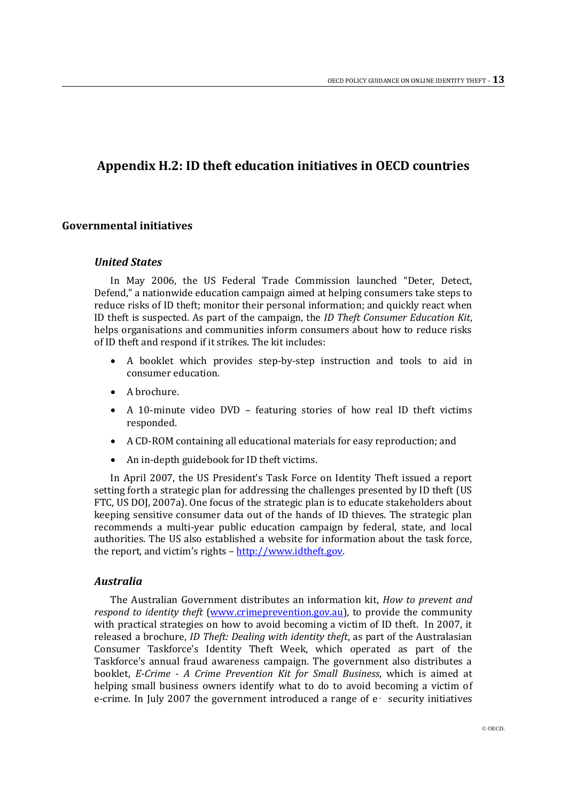## **Appendix H.2: ID theft education initiatives in OECD countries**

#### **Governmental initiatives**

#### *United States*

In May 2006, the US Federal Trade Commission launched "Deter, Detect, Defend," a nationwide education campaign aimed at helping consumers take steps to reduce risks of ID theft; monitor their personal information; and quickly react when ID theft is suspected. As part of the campaign, the *ID Theft Consumer Education Kit*, helps organisations and communities inform consumers about how to reduce risks of ID theft and respond if it strikes. The kit includes:

- A booklet which provides step-by-step instruction and tools to aid in consumer education.
- A brochure.
- A 10-minute video DVD featuring stories of how real ID theft victims responded.
- A CD-ROM containing all educational materials for easy reproduction; and
- An in-depth guidebook for ID theft victims.

In April 2007, the US President's Task Force on Identity Theft issued a report setting forth a strategic plan for addressing the challenges presented by ID theft (US FTC, US DOJ, 2007a). One focus of the strategic plan is to educate stakeholders about keeping sensitive consumer data out of the hands of ID thieves. The strategic plan recommends a multi-year public education campaign by federal, state, and local authorities. The US also established a website for information about the task force, the report, and victim's rights - [http://www.idtheft.gov.](http://www.idtheft.gov/)

#### *Australia*

The Australian Government distributes an information kit, *How to prevent and respond to identity theft* [\(www.crimeprevention.gov.au\)](http://www.crimeprevention.gov.au/), to provide the community with practical strategies on how to avoid becoming a victim of ID theft. In 2007, it released a brochure, *ID Theft: Dealing with identity theft*, as part of the Australasian Consumer Taskforce's Identity Theft Week, which operated as part of the Taskforce's annual fraud awareness campaign. The government also distributes a booklet, *E-Crime - A Crime Prevention Kit for Small Business*, which is aimed at helping small business owners identify what to do to avoid becoming a victim of e-crime. In July 2007 the government introduced a range of e‑ security initiatives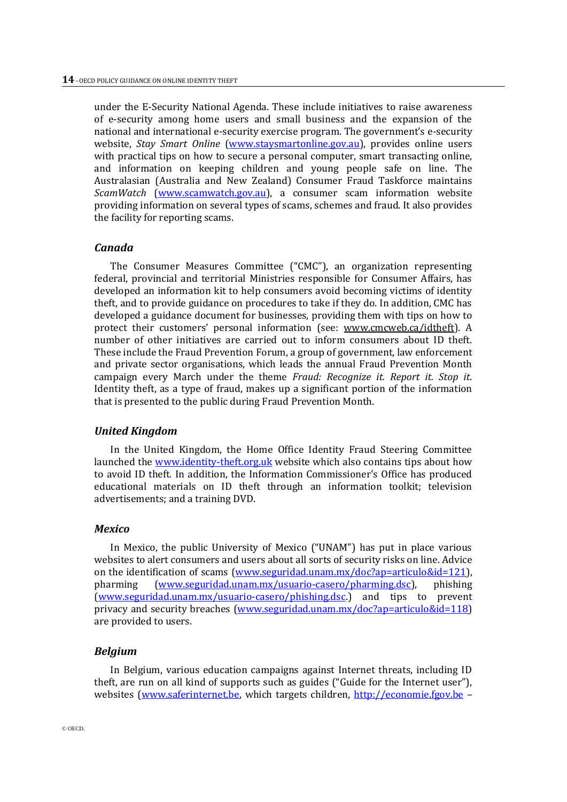under the E-Security National Agenda. These include initiatives to raise awareness of e-security among home users and small business and the expansion of the national and international e-security exercise program. The government's e-security website, *Stay Smart Online* [\(www.staysmartonline.gov.au\)](http://www.staysmartonline.gov.au/), provides online users with practical tips on how to secure a personal computer, smart transacting online, and information on keeping children and young people safe on line. The Australasian (Australia and New Zealand) Consumer Fraud Taskforce maintains *ScamWatch* [\(www.scamwatch.gov.au\)](http://www.scamwatch.gov.au/), a consumer scam information website providing information on several types of scams, schemes and fraud. It also provides the facility for reporting scams.

#### *Canada*

The Consumer Measures Committee ("CMC"), an organization representing federal, provincial and territorial Ministries responsible for Consumer Affairs, has developed an information kit to help consumers avoid becoming victims of identity theft, and to provide guidance on procedures to take if they do. In addition, CMC has developed a guidance document for businesses, providing them with tips on how to protect their customers' personal information (see: [www.cmcweb.ca/idtheft\)](outbind://21/www.cmcweb.ca/idtheft). A number of other initiatives are carried out to inform consumers about ID theft. These include the Fraud Prevention Forum, a group of government, law enforcement and private sector organisations, which leads the annual Fraud Prevention Month campaign every March under the theme *Fraud: Recognize it. Report it. Stop it*. Identity theft, as a type of fraud, makes up a significant portion of the information that is presented to the public during Fraud Prevention Month.

#### *United Kingdom*

In the United Kingdom, the Home Office Identity Fraud Steering Committee launched the [www.identity-theft.org.uk](http://www.identity-theft.org.uk/) website which also contains tips about how to avoid ID theft. In addition, the Information Commissioner's Office has produced educational materials on ID theft through an information toolkit; television advertisements; and a training DVD.

#### *Mexico*

In Mexico, the public University of Mexico ("UNAM") has put in place various websites to alert consumers and users about all sorts of security risks on line. Advice on the identification of scams [\(www.seguridad.unam.mx/doc?ap=articulo&id=121\)](http://www.seguridad.unam.mx/doc?ap=articulo&id=121), pharming [\(www.seguridad.unam.mx/usuario-casero/pharming.dsc\)](http://www.seguridad.unam.mx/usuario-casero/pharming.dsc), phishing [\(www.seguridad.unam.mx/usuario-casero/phishing.dsc.](http://www.seguridad.unam.mx/usuario-casero/phishing.dsc)) and tips to prevent privacy and security breaches [\(www.seguridad.unam.mx/doc?ap=articulo&id=118\)](http://www.seguridad.unam.mx/doc?ap=articulo&id=118) are provided to users.

#### *Belgium*

In Belgium, various education campaigns against Internet threats, including ID theft, are run on all kind of supports such as guides ("Guide for the Internet user"), websites [\(www.saferinternet.be,](http://www.saferinternet.be/) which targets children, [http://economie.fgov.be](http://economie.fgov.be/) -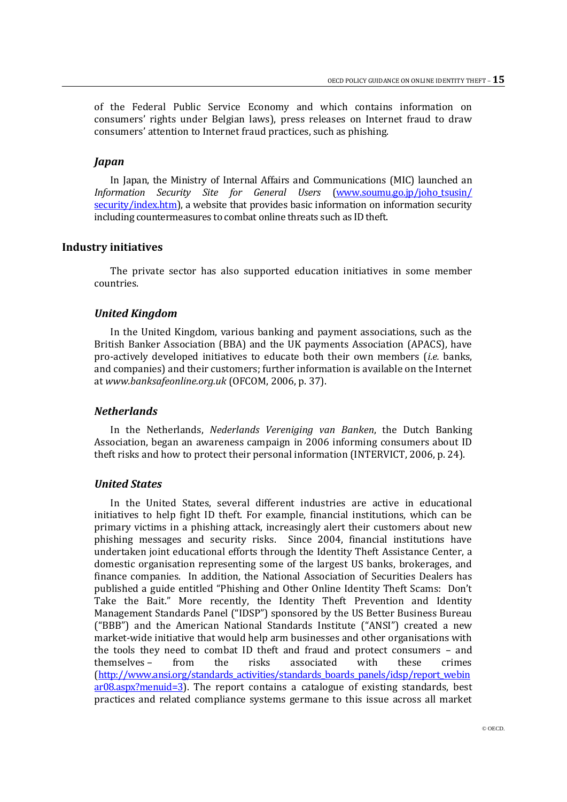of the Federal Public Service Economy and which contains information on consumers' rights under Belgian laws), press releases on Internet fraud to draw consumers' attention to Internet fraud practices, such as phishing.

#### *Japan*

In Japan, the Ministry of Internal Affairs and Communications (MIC) launched an *Information Security Site for General Users* [\(www.soumu.go.jp/joho\\_tsusin/](http://www.soumu.go.jp/joho_tsusin/%20security/index.htm)  [security/index.htm\)](http://www.soumu.go.jp/joho_tsusin/%20security/index.htm), a website that provides basic information on information security including countermeasures to combat online threats such as ID theft.

#### **Industry initiatives**

The private sector has also supported education initiatives in some member countries.

#### *United Kingdom*

In the United Kingdom, various banking and payment associations, such as the British Banker Association (BBA) and the UK payments Association (APACS), have pro-actively developed initiatives to educate both their own members (*i.e.* banks, and companies) and their customers; further information is available on the Internet at *www.banksafeonline.org.uk* (OFCOM, 2006, p. 37).

#### *Netherlands*

In the Netherlands, *Nederlands Vereniging van Banken*, the Dutch Banking Association, began an awareness campaign in 2006 informing consumers about ID theft risks and how to protect their personal information (INTERVICT, 2006, p. 24).

#### *United States*

In the United States, several different industries are active in educational initiatives to help fight ID theft. For example, financial institutions, which can be primary victims in a phishing attack, increasingly alert their customers about new phishing messages and security risks. Since 2004, financial institutions have undertaken joint educational efforts through the Identity Theft Assistance Center, a domestic organisation representing some of the largest US banks, brokerages, and finance companies. In addition, the National Association of Securities Dealers has published a guide entitled "Phishing and Other Online Identity Theft Scams: Don't Take the Bait." More recently, the Identity Theft Prevention and Identity Management Standards Panel ("IDSP") sponsored by the US Better Business Bureau ("BBB") and the American National Standards Institute ("ANSI") created a new market-wide initiative that would help arm businesses and other organisations with the tools they need to combat ID theft and fraud and protect consumers – and themselves – from the risks associated with these crimes [\(http://www.ansi.org/standards\\_activities/standards\\_boards\\_panels/idsp/report\\_webin](http://www.ansi.org/standards_activities/standards_boards_panels/idsp/report_webinar08.aspx?menuid=3) [ar08.aspx?menuid=3\)](http://www.ansi.org/standards_activities/standards_boards_panels/idsp/report_webinar08.aspx?menuid=3). The report contains a catalogue of existing standards, best practices and related compliance systems germane to this issue across all market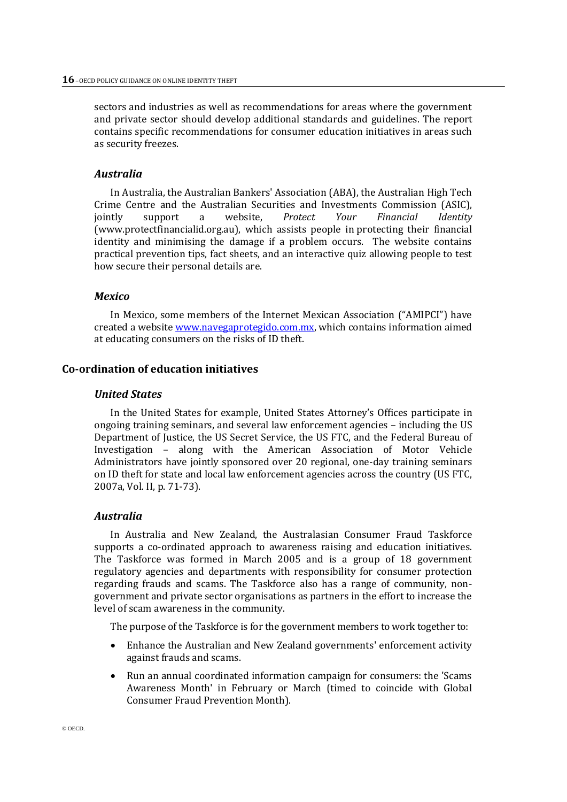sectors and industries as well as recommendations for areas where the government and private sector should develop additional standards and guidelines. The report contains specific recommendations for consumer education initiatives in areas such as security freezes.

#### *Australia*

In Australia, the Australian Bankers' Association (ABA), the Australian High Tech Crime Centre and the Australian Securities and Investments Commission (ASIC), jointly support a website, *Protect Your Financial Identity* (www.protectfinancialid.org.au), which assists people in protecting their financial identity and minimising the damage if a problem occurs. The website contains practical prevention tips, fact sheets, and an interactive quiz allowing people to test how secure their personal details are.

#### *Mexico*

In Mexico, some members of the Internet Mexican Association ("AMIPCI") have created a website [www.navegaprotegido.com.mx,](http://www.navegaprotegido.com.mx/) which contains information aimed at educating consumers on the risks of ID theft.

#### **Co-ordination of education initiatives**

#### *United States*

In the United States for example, United States Attorney's Offices participate in ongoing training seminars, and several law enforcement agencies – including the US Department of Justice, the US Secret Service, the US FTC, and the Federal Bureau of Investigation – along with the American Association of Motor Vehicle Administrators have jointly sponsored over 20 regional, one-day training seminars on ID theft for state and local law enforcement agencies across the country (US FTC, 2007a, Vol. II, p. 71-73).

#### *Australia*

In Australia and New Zealand, the Australasian Consumer Fraud Taskforce supports a co-ordinated approach to awareness raising and education initiatives. The Taskforce was formed in March 2005 and is a group of 18 government regulatory agencies and departments with responsibility for consumer protection regarding frauds and scams. The Taskforce also has a range of community, nongovernment and private sector organisations as partners in the effort to increase the level of scam awareness in the community.

The purpose of the Taskforce is for the government members to work together to:

- Enhance the Australian and New Zealand governments' enforcement activity against frauds and scams.
- Run an annual coordinated information campaign for consumers: the 'Scams Awareness Month' in February or March (timed to coincide with Global Consumer Fraud Prevention Month).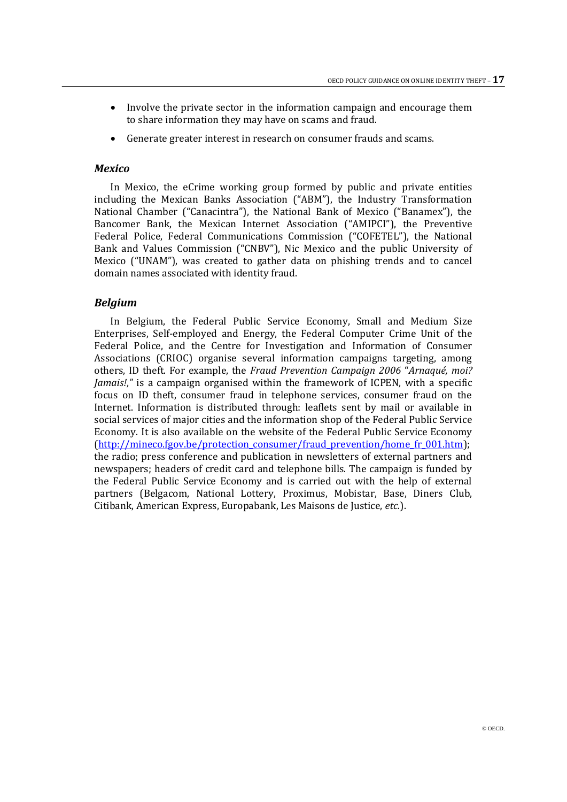- Involve the private sector in the information campaign and encourage them to share information they may have on scams and fraud.
- Generate greater interest in research on consumer frauds and scams.

#### *Mexico*

In Mexico, the eCrime working group formed by public and private entities including the Mexican Banks Association ("ABM"), the Industry Transformation National Chamber ("Canacintra"), the National Bank of Mexico ("Banamex"), the Bancomer Bank, the Mexican Internet Association ("AMIPCI"), the Preventive Federal Police, Federal Communications Commission ("COFETEL"), the National Bank and Values Commission ("CNBV"), Nic Mexico and the public University of Mexico ("UNAM"), was created to gather data on phishing trends and to cancel domain names associated with identity fraud.

#### *Belgium*

In Belgium, the Federal Public Service Economy, Small and Medium Size Enterprises, Self-employed and Energy, the Federal Computer Crime Unit of the Federal Police, and the Centre for Investigation and Information of Consumer Associations (CRIOC) organise several information campaigns targeting, among others, ID theft. For example, the *Fraud Prevention Campaign 2006* "*Arnaqué, moi? Jamais!*,*"* is a campaign organised within the framework of ICPEN, with a specific focus on ID theft, consumer fraud in telephone services, consumer fraud on the Internet. Information is distributed through: leaflets sent by mail or available in social services of major cities and the information shop of the Federal Public Service Economy. It is also available on the website of the Federal Public Service Economy [\(http://mineco.fgov.be/protection\\_consumer/fraud\\_prevention/home\\_fr\\_001.htm\)](http://mineco.fgov.be/protection_consumer/fraud_prevention/home_fr_001.htm); the radio; press conference and publication in newsletters of external partners and newspapers; headers of credit card and telephone bills. The campaign is funded by the Federal Public Service Economy and is carried out with the help of external partners (Belgacom, National Lottery, Proximus, Mobistar, Base, Diners Club, Citibank, American Express, Europabank, Les Maisons de Justice, *etc.*).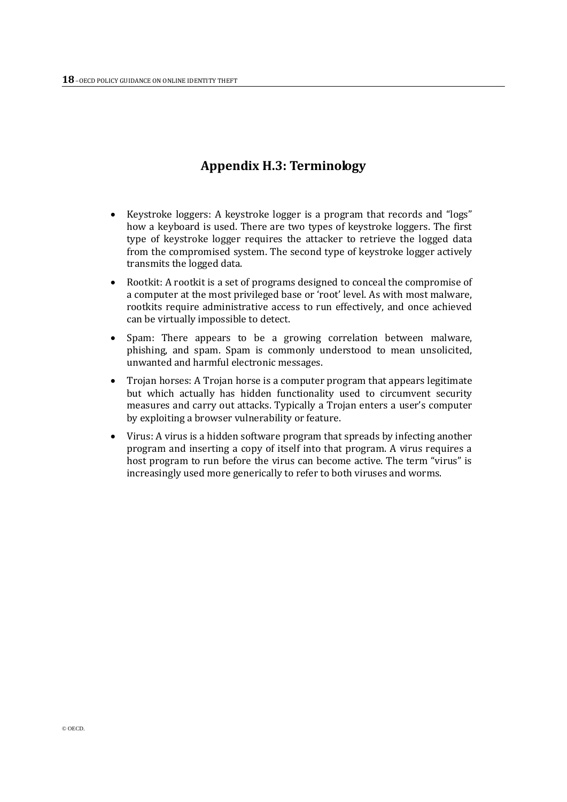## **Appendix H.3: Terminology**

- Keystroke loggers: A keystroke logger is a program that records and "logs" how a keyboard is used. There are two types of keystroke loggers. The first type of keystroke logger requires the attacker to retrieve the logged data from the compromised system. The second type of keystroke logger actively transmits the logged data.
- Rootkit: A rootkit is a set of programs designed to conceal the compromise of a computer at the most privileged base or 'root' level. As with most malware, rootkits require administrative access to run effectively, and once achieved can be virtually impossible to detect.
- Spam: There appears to be a growing correlation between malware, phishing, and spam. Spam is commonly understood to mean unsolicited, unwanted and harmful electronic messages.
- Trojan horses: A Trojan horse is a computer program that appears legitimate but which actually has hidden functionality used to circumvent security measures and carry out attacks. Typically a Trojan enters a user's computer by exploiting a browser vulnerability or feature.
- Virus: A virus is a hidden software program that spreads by infecting another program and inserting a copy of itself into that program. A virus requires a host program to run before the virus can become active. The term "virus" is increasingly used more generically to refer to both viruses and worms.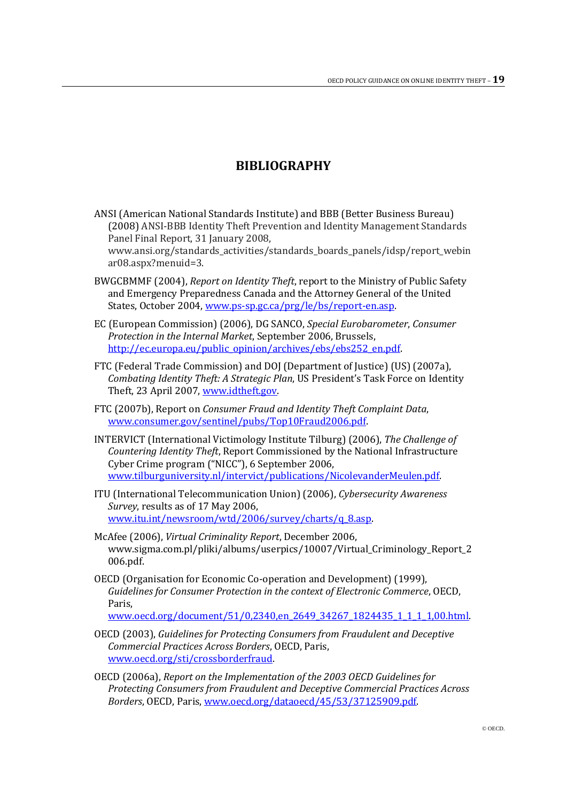## **BIBLIOGRAPHY**

ANSI (American National Standards Institute) and BBB (Better Business Bureau) (2008) ANSI-BBB Identity Theft Prevention and Identity Management Standards Panel Final Report, 31 January 2008,

www.ansi.org/standards\_activities/standards\_boards\_panels/idsp/report\_webin ar08.aspx?menuid=3.

- BWGCBMMF (2004), *Report on Identity Theft*, report to the Ministry of Public Safety and Emergency Preparedness Canada and the Attorney General of the United States, October 2004[, www.ps-sp.gc.ca/prg/le/bs/report-en.asp.](http://www.ps-sp.gc.ca/prg/le/bs/report-en.asp)
- EC (European Commission) (2006), DG SANCO, *Special Eurobarometer*, *Consumer Protection in the Internal Market*, September 2006, Brussels, [http://ec.europa.eu/public\\_opinion/archives/ebs/ebs252\\_en.pdf.](http://ec.europa.eu/public_opinion/archives/ebs/ebs252_en.pdf)
- FTC (Federal Trade Commission) and DOJ (Department of Justice) (US) (2007a), *Combating Identity Theft: A Strategic Plan*, US President's Task Force on Identity Theft, 23 April 2007[, www.idtheft.gov.](http://www.idtheft.gov/)
- FTC (2007b), Report on *Consumer Fraud and Identity Theft Complaint Data*, [www.consumer.gov/sentinel/pubs/Top10Fraud2006.pdf.](http://www.consumer.gov/sentinel/pubs/Top10Fraud2006.pdf)
- INTERVICT (International Victimology Institute Tilburg) (2006), *The Challenge of Countering Identity Theft*, Report Commissioned by the National Infrastructure Cyber Crime program ("NICC"), 6 September 2006, [www.tilburguniversity.nl/intervict/publications/NicolevanderMeulen.pdf.](http://www.tilburguniversity.nl/intervict/publications/NicolevanderMeulen.pdf)
- ITU (International Telecommunication Union) (2006), *Cybersecurity Awareness Survey*, results as of 17 May 2006, [www.itu.int/newsroom/wtd/2006/survey/charts/q\\_8.asp.](http://www.itu.int/newsroom/wtd/2006/survey/charts/q_8.asp)
- McAfee (2006), *Virtual Criminality Report*, December 2006, [www.sigma.com.pl/pliki/albums/userpics/10007/Virtual\\_Criminology\\_Report\\_2](http://www.sigma.com.pl/pliki/albums/userpics/10007/Virtual_Criminology_Report_2006.pdf) [006.pdf.](http://www.sigma.com.pl/pliki/albums/userpics/10007/Virtual_Criminology_Report_2006.pdf)
- OECD (Organisation for Economic Co-operation and Development) (1999), *Guidelines for Consumer Protection in the context of Electronic Commerce*, OECD, Paris,

[www.oecd.org/document/51/0,2340,en\\_2649\\_34267\\_1824435\\_1\\_1\\_1\\_1,00.html.](www.oecd.org/document/51/0,2340,en_2649_34267_1824435_1_1_1_1,00.html)

- OECD (2003), *Guidelines for Protecting Consumers from Fraudulent and Deceptive Commercial Practices Across Borders*, OECD, Paris, [www.oecd.org/sti/crossborderfraud.](http://www.oecd.org/sti/crossborderfraud/)
- OECD (2006a), *Report on the Implementation of the 2003 OECD Guidelines for Protecting Consumers from Fraudulent and Deceptive Commercial Practices Across Borders*, OECD, Paris[, www.oecd.org/dataoecd/45/53/37125909.pdf.](http://www.oecd.org/dataoecd/45/53/37125909.pdf)